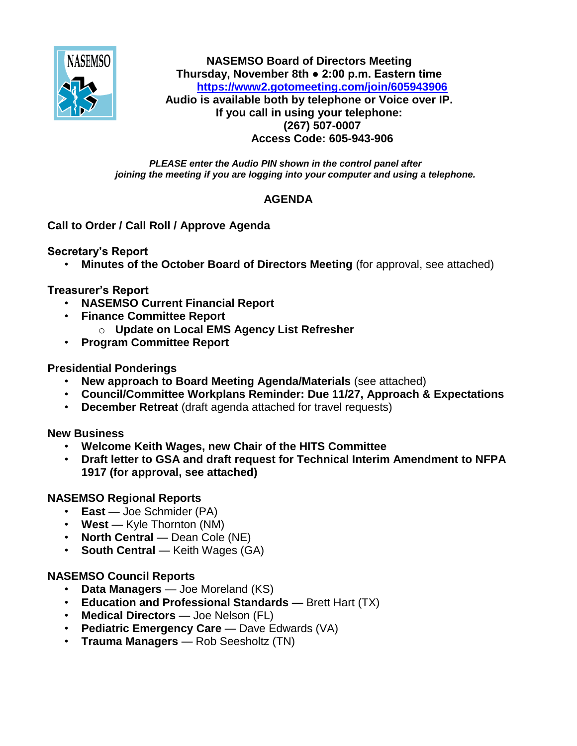

**NASEMSO Board of Directors Meeting Thursday, November 8th ● 2:00 p.m. Eastern time <https://www2.gotomeeting.com/join/605943906> Audio is available both by telephone or Voice over IP. If you call in using your telephone: (267) 507-0007 Access Code: 605-943-906**

*PLEASE enter the Audio PIN shown in the control panel after joining the meeting if you are logging into your computer and using a telephone.*

## **AGENDA**

## **Call to Order / Call Roll / Approve Agenda**

**Secretary's Report**

• **Minutes of the October Board of Directors Meeting** (for approval, see attached)

**Treasurer's Report**

- **NASEMSO Current Financial Report**
- **Finance Committee Report**
	- o **Update on Local EMS Agency List Refresher**
- **Program Committee Report**

## **Presidential Ponderings**

- **New approach to Board Meeting Agenda/Materials** (see attached)
- **Council/Committee Workplans Reminder: Due 11/27, Approach & Expectations**
- **December Retreat** (draft agenda attached for travel requests)

**New Business**

- **Welcome Keith Wages, new Chair of the HITS Committee**
- **Draft letter to GSA and draft request for Technical Interim Amendment to NFPA 1917 (for approval, see attached)**

# **NASEMSO Regional Reports**

- **East** Joe Schmider (PA)
- **West** Kyle Thornton (NM)
- **North Central** Dean Cole (NE)
- **South Central** Keith Wages (GA)

### **NASEMSO Council Reports**

- **Data Managers** Joe Moreland (KS)
- **Education and Professional Standards —** Brett Hart (TX)
- **Medical Directors** Joe Nelson (FL)
- **Pediatric Emergency Care** Dave Edwards (VA)
- **Trauma Managers** Rob Seesholtz (TN)